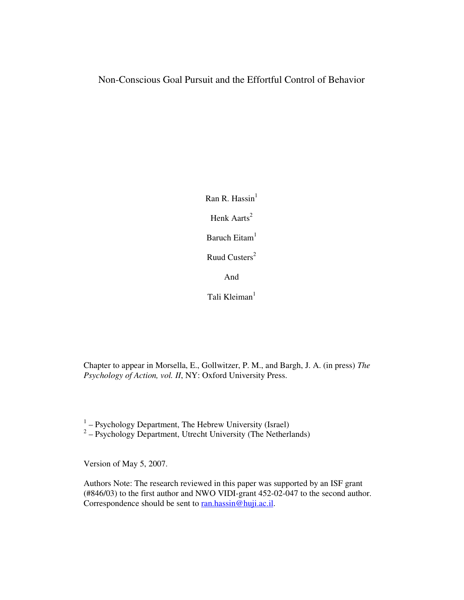# Non-Conscious Goal Pursuit and the Effortful Control of Behavior

Ran R. Hassin $<sup>1</sup>$ </sup> Henk Aarts<sup>2</sup> Baruch Eitam<sup>1</sup> Ruud Custers<sup>2</sup> And

Tali Kleiman $<sup>1</sup>$ </sup>

Chapter to appear in Morsella, E., Gollwitzer, P. M., and Bargh, J. A. (in press) *The Psychology of Action, vol. II*, NY: Oxford University Press.

 $1 -$  Psychology Department, The Hebrew University (Israel)

 $2 -$  Psychology Department, Utrecht University (The Netherlands)

Version of May 5, 2007.

Authors Note: The research reviewed in this paper was supported by an ISF grant (#846/03) to the first author and NWO VIDI-grant 452-02-047 to the second author. Correspondence should be sent to ran.hassin@huji.ac.il.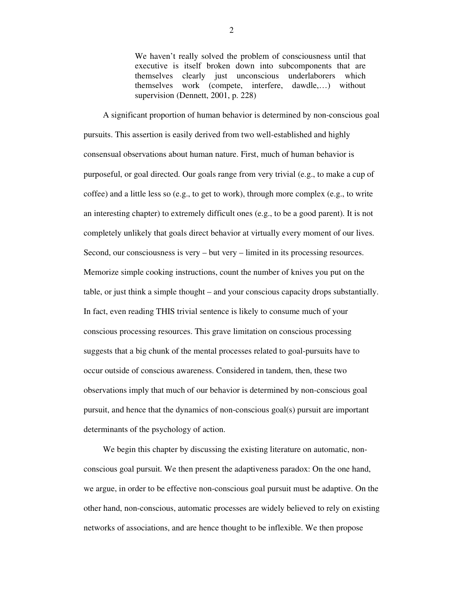We haven't really solved the problem of consciousness until that executive is itself broken down into subcomponents that are themselves clearly just unconscious underlaborers which themselves work (compete, interfere, dawdle,…) without supervision (Dennett, 2001, p. 228)

A significant proportion of human behavior is determined by non-conscious goal pursuits. This assertion is easily derived from two well-established and highly consensual observations about human nature. First, much of human behavior is purposeful, or goal directed. Our goals range from very trivial (e.g., to make a cup of coffee) and a little less so (e.g., to get to work), through more complex (e.g., to write an interesting chapter) to extremely difficult ones (e.g., to be a good parent). It is not completely unlikely that goals direct behavior at virtually every moment of our lives. Second, our consciousness is very – but very – limited in its processing resources. Memorize simple cooking instructions, count the number of knives you put on the table, or just think a simple thought – and your conscious capacity drops substantially. In fact, even reading THIS trivial sentence is likely to consume much of your conscious processing resources. This grave limitation on conscious processing suggests that a big chunk of the mental processes related to goal-pursuits have to occur outside of conscious awareness. Considered in tandem, then, these two observations imply that much of our behavior is determined by non-conscious goal pursuit, and hence that the dynamics of non-conscious goal(s) pursuit are important determinants of the psychology of action.

We begin this chapter by discussing the existing literature on automatic, nonconscious goal pursuit. We then present the adaptiveness paradox: On the one hand, we argue, in order to be effective non-conscious goal pursuit must be adaptive. On the other hand, non-conscious, automatic processes are widely believed to rely on existing networks of associations, and are hence thought to be inflexible. We then propose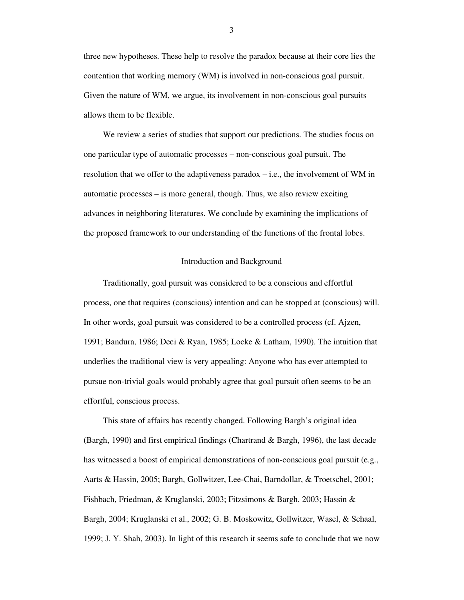three new hypotheses. These help to resolve the paradox because at their core lies the contention that working memory (WM) is involved in non-conscious goal pursuit. Given the nature of WM, we argue, its involvement in non-conscious goal pursuits allows them to be flexible.

We review a series of studies that support our predictions. The studies focus on one particular type of automatic processes – non-conscious goal pursuit. The resolution that we offer to the adaptiveness paradox  $-$  i.e., the involvement of WM in automatic processes – is more general, though. Thus, we also review exciting advances in neighboring literatures. We conclude by examining the implications of the proposed framework to our understanding of the functions of the frontal lobes.

# Introduction and Background

Traditionally, goal pursuit was considered to be a conscious and effortful process, one that requires (conscious) intention and can be stopped at (conscious) will. In other words, goal pursuit was considered to be a controlled process (cf. Ajzen, 1991; Bandura, 1986; Deci & Ryan, 1985; Locke & Latham, 1990). The intuition that underlies the traditional view is very appealing: Anyone who has ever attempted to pursue non-trivial goals would probably agree that goal pursuit often seems to be an effortful, conscious process.

This state of affairs has recently changed. Following Bargh's original idea (Bargh, 1990) and first empirical findings (Chartrand & Bargh, 1996), the last decade has witnessed a boost of empirical demonstrations of non-conscious goal pursuit (e.g., Aarts & Hassin, 2005; Bargh, Gollwitzer, Lee-Chai, Barndollar, & Troetschel, 2001; Fishbach, Friedman, & Kruglanski, 2003; Fitzsimons & Bargh, 2003; Hassin & Bargh, 2004; Kruglanski et al., 2002; G. B. Moskowitz, Gollwitzer, Wasel, & Schaal, 1999; J. Y. Shah, 2003). In light of this research it seems safe to conclude that we now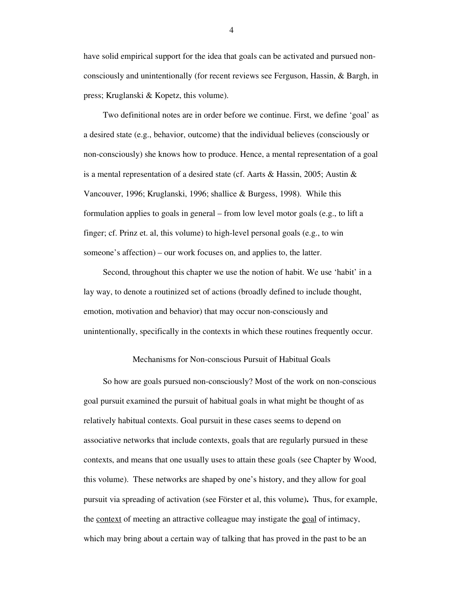have solid empirical support for the idea that goals can be activated and pursued nonconsciously and unintentionally (for recent reviews see Ferguson, Hassin, & Bargh, in press; Kruglanski & Kopetz, this volume).

Two definitional notes are in order before we continue. First, we define 'goal' as a desired state (e.g., behavior, outcome) that the individual believes (consciously or non-consciously) she knows how to produce. Hence, a mental representation of a goal is a mental representation of a desired state (cf. Aarts & Hassin, 2005; Austin & Vancouver, 1996; Kruglanski, 1996; shallice & Burgess, 1998). While this formulation applies to goals in general – from low level motor goals (e.g., to lift a finger; cf. Prinz et. al, this volume) to high-level personal goals (e.g., to win someone's affection) – our work focuses on, and applies to, the latter.

Second, throughout this chapter we use the notion of habit. We use 'habit' in a lay way, to denote a routinized set of actions (broadly defined to include thought, emotion, motivation and behavior) that may occur non-consciously and unintentionally, specifically in the contexts in which these routines frequently occur.

# Mechanisms for Non-conscious Pursuit of Habitual Goals

So how are goals pursued non-consciously? Most of the work on non-conscious goal pursuit examined the pursuit of habitual goals in what might be thought of as relatively habitual contexts. Goal pursuit in these cases seems to depend on associative networks that include contexts, goals that are regularly pursued in these contexts, and means that one usually uses to attain these goals (see Chapter by Wood, this volume). These networks are shaped by one's history, and they allow for goal pursuit via spreading of activation (see Förster et al, this volume)**.** Thus, for example, the <u>context</u> of meeting an attractive colleague may instigate the goal of intimacy, which may bring about a certain way of talking that has proved in the past to be an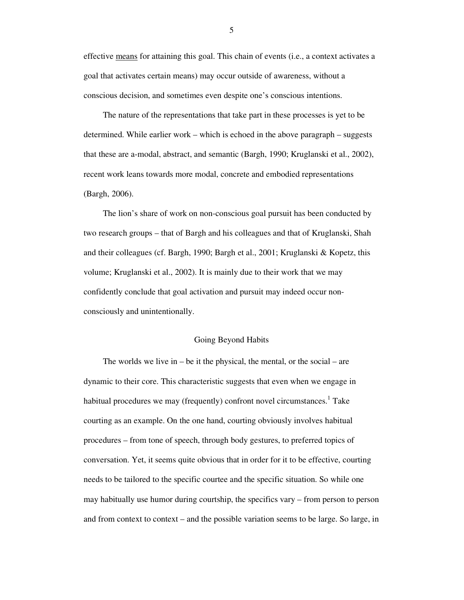effective means for attaining this goal. This chain of events (i.e., a context activates a goal that activates certain means) may occur outside of awareness, without a conscious decision, and sometimes even despite one's conscious intentions.

The nature of the representations that take part in these processes is yet to be determined. While earlier work – which is echoed in the above paragraph – suggests that these are a-modal, abstract, and semantic (Bargh, 1990; Kruglanski et al., 2002), recent work leans towards more modal, concrete and embodied representations (Bargh, 2006).

The lion's share of work on non-conscious goal pursuit has been conducted by two research groups – that of Bargh and his colleagues and that of Kruglanski, Shah and their colleagues (cf. Bargh, 1990; Bargh et al., 2001; Kruglanski & Kopetz, this volume; Kruglanski et al., 2002). It is mainly due to their work that we may confidently conclude that goal activation and pursuit may indeed occur nonconsciously and unintentionally.

### Going Beyond Habits

The worlds we live in  $-$  be it the physical, the mental, or the social  $-$  are dynamic to their core. This characteristic suggests that even when we engage in habitual procedures we may (frequently) confront novel circumstances.<sup>1</sup> Take courting as an example. On the one hand, courting obviously involves habitual procedures – from tone of speech, through body gestures, to preferred topics of conversation. Yet, it seems quite obvious that in order for it to be effective, courting needs to be tailored to the specific courtee and the specific situation. So while one may habitually use humor during courtship, the specifics vary – from person to person and from context to context – and the possible variation seems to be large. So large, in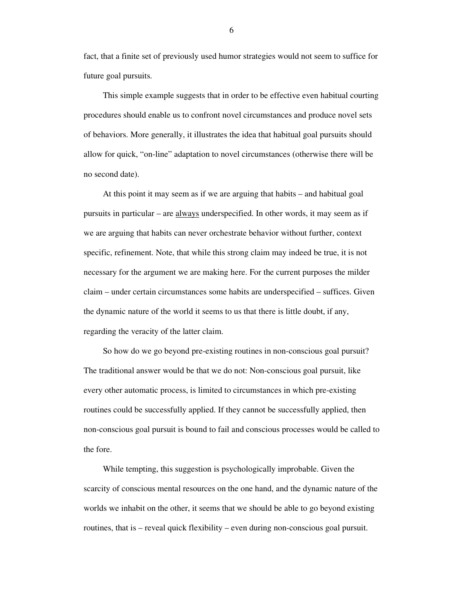fact, that a finite set of previously used humor strategies would not seem to suffice for future goal pursuits.

This simple example suggests that in order to be effective even habitual courting procedures should enable us to confront novel circumstances and produce novel sets of behaviors. More generally, it illustrates the idea that habitual goal pursuits should allow for quick, "on-line" adaptation to novel circumstances (otherwise there will be no second date).

At this point it may seem as if we are arguing that habits – and habitual goal pursuits in particular – are always underspecified. In other words, it may seem as if we are arguing that habits can never orchestrate behavior without further, context specific, refinement. Note, that while this strong claim may indeed be true, it is not necessary for the argument we are making here. For the current purposes the milder claim – under certain circumstances some habits are underspecified – suffices. Given the dynamic nature of the world it seems to us that there is little doubt, if any, regarding the veracity of the latter claim.

So how do we go beyond pre-existing routines in non-conscious goal pursuit? The traditional answer would be that we do not: Non-conscious goal pursuit, like every other automatic process, is limited to circumstances in which pre-existing routines could be successfully applied. If they cannot be successfully applied, then non-conscious goal pursuit is bound to fail and conscious processes would be called to the fore.

While tempting, this suggestion is psychologically improbable. Given the scarcity of conscious mental resources on the one hand, and the dynamic nature of the worlds we inhabit on the other, it seems that we should be able to go beyond existing routines, that is – reveal quick flexibility – even during non-conscious goal pursuit.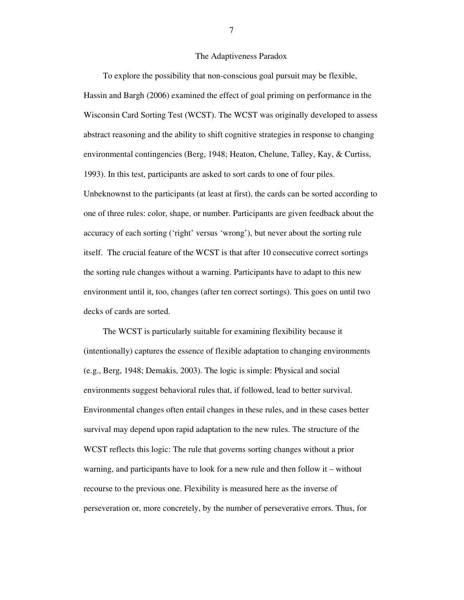## The Adaptiveness Paradox

To explore the possibility that non-conscious goal pursuit may be flexible, Hassin and Bargh (2006) examined the effect of goal priming on performance in the Wisconsin Card Sorting Test (WCST). The WCST was originally developed to assess abstract reasoning and the ability to shift cognitive strategies in response to changing environmental contingencies (Berg, 1948; Heaton, Chelune, Talley, Kay, & Curtiss, 1993). In this test, participants are asked to sort cards to one of four piles. Unbeknownst to the participants (at least at first), the cards can be sorted according to one of three rules: color, shape, or number. Participants are given feedback about the accuracy of each sorting ('right' versus 'wrong'), but never about the sorting rule itself. The crucial feature of the WCST is that after 10 consecutive correct sortings the sorting rule changes without a warning. Participants have to adapt to this new environment until it, too, changes (after ten correct sortings). This goes on until two decks of cards are sorted.

The WCST is particularly suitable for examining flexibility because it (intentionally) captures the essence of flexible adaptation to changing environments (e.g., Berg, 1948; Demakis, 2003). The logic is simple: Physical and social environments suggest behavioral rules that, if followed, lead to better survival. Environmental changes often entail changes in these rules, and in these cases better survival may depend upon rapid adaptation to the new rules. The structure of the WCST reflects this logic: The rule that governs sorting changes without a prior warning, and participants have to look for a new rule and then follow it – without recourse to the previous one. Flexibility is measured here as the inverse of perseveration or, more concretely, by the number of perseverative errors. Thus, for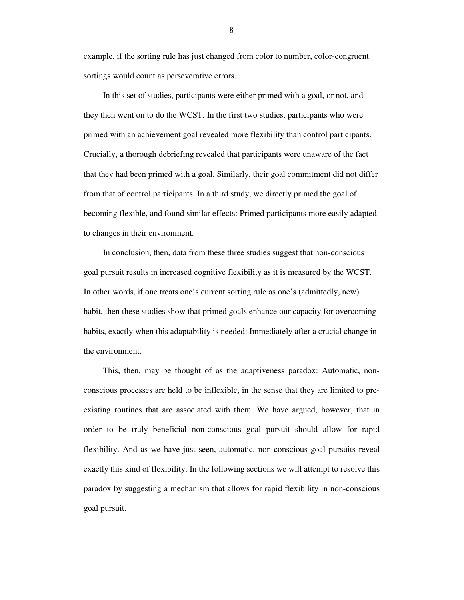example, if the sorting rule has just changed from color to number, color-congruent sortings would count as perseverative errors.

In this set of studies, participants were either primed with a goal, or not, and they then went on to do the WCST. In the first two studies, participants who were primed with an achievement goal revealed more flexibility than control participants. Crucially, a thorough debriefing revealed that participants were unaware of the fact that they had been primed with a goal. Similarly, their goal commitment did not differ from that of control participants. In a third study, we directly primed the goal of becoming flexible, and found similar effects: Primed participants more easily adapted to changes in their environment.

In conclusion, then, data from these three studies suggest that non-conscious goal pursuit results in increased cognitive flexibility as it is measured by the WCST. In other words, if one treats one's current sorting rule as one's (admittedly, new) habit, then these studies show that primed goals enhance our capacity for overcoming habits, exactly when this adaptability is needed: Immediately after a crucial change in the environment.

This, then, may be thought of as the adaptiveness paradox: Automatic, nonconscious processes are held to be inflexible, in the sense that they are limited to preexisting routines that are associated with them. We have argued, however, that in order to be truly beneficial non-conscious goal pursuit should allow for rapid flexibility. And as we have just seen, automatic, non-conscious goal pursuits reveal exactly this kind of flexibility. In the following sections we will attempt to resolve this paradox by suggesting a mechanism that allows for rapid flexibility in non-conscious goal pursuit.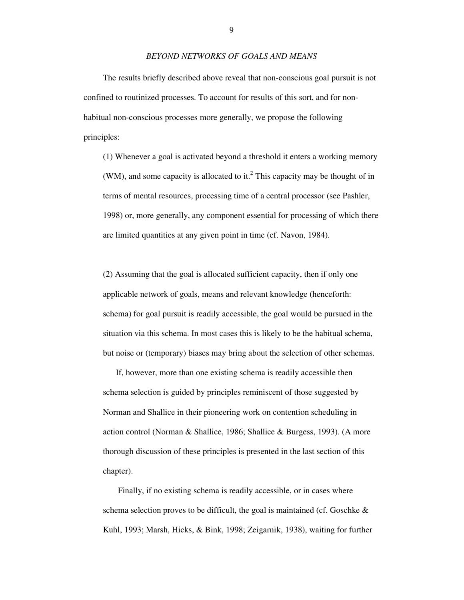# *BEYOND NETWORKS OF GOALS AND MEANS*

The results briefly described above reveal that non-conscious goal pursuit is not confined to routinized processes. To account for results of this sort, and for nonhabitual non-conscious processes more generally, we propose the following principles:

(1) Whenever a goal is activated beyond a threshold it enters a working memory (WM), and some capacity is allocated to it.<sup>2</sup> This capacity may be thought of in terms of mental resources, processing time of a central processor (see Pashler, 1998) or, more generally, any component essential for processing of which there are limited quantities at any given point in time (cf. Navon, 1984).

(2) Assuming that the goal is allocated sufficient capacity, then if only one applicable network of goals, means and relevant knowledge (henceforth: schema) for goal pursuit is readily accessible, the goal would be pursued in the situation via this schema. In most cases this is likely to be the habitual schema, but noise or (temporary) biases may bring about the selection of other schemas.

 If, however, more than one existing schema is readily accessible then schema selection is guided by principles reminiscent of those suggested by Norman and Shallice in their pioneering work on contention scheduling in action control (Norman & Shallice, 1986; Shallice & Burgess, 1993). (A more thorough discussion of these principles is presented in the last section of this chapter).

 Finally, if no existing schema is readily accessible, or in cases where schema selection proves to be difficult, the goal is maintained (cf. Goschke & Kuhl, 1993; Marsh, Hicks, & Bink, 1998; Zeigarnik, 1938), waiting for further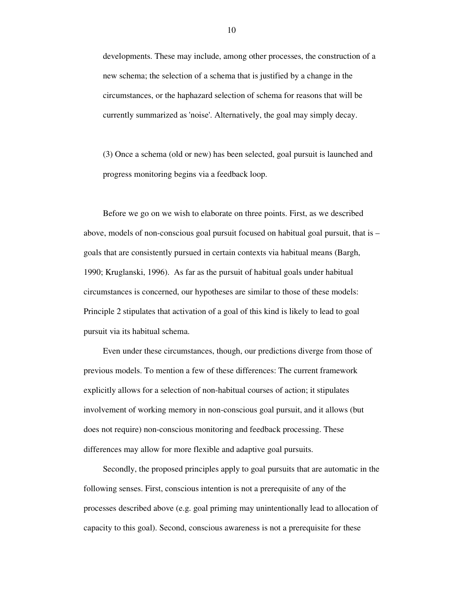developments. These may include, among other processes, the construction of a new schema; the selection of a schema that is justified by a change in the circumstances, or the haphazard selection of schema for reasons that will be currently summarized as 'noise'. Alternatively, the goal may simply decay.

(3) Once a schema (old or new) has been selected, goal pursuit is launched and progress monitoring begins via a feedback loop.

Before we go on we wish to elaborate on three points. First, as we described above, models of non-conscious goal pursuit focused on habitual goal pursuit, that is – goals that are consistently pursued in certain contexts via habitual means (Bargh, 1990; Kruglanski, 1996). As far as the pursuit of habitual goals under habitual circumstances is concerned, our hypotheses are similar to those of these models: Principle 2 stipulates that activation of a goal of this kind is likely to lead to goal pursuit via its habitual schema.

Even under these circumstances, though, our predictions diverge from those of previous models. To mention a few of these differences: The current framework explicitly allows for a selection of non-habitual courses of action; it stipulates involvement of working memory in non-conscious goal pursuit, and it allows (but does not require) non-conscious monitoring and feedback processing. These differences may allow for more flexible and adaptive goal pursuits.

Secondly, the proposed principles apply to goal pursuits that are automatic in the following senses. First, conscious intention is not a prerequisite of any of the processes described above (e.g. goal priming may unintentionally lead to allocation of capacity to this goal). Second, conscious awareness is not a prerequisite for these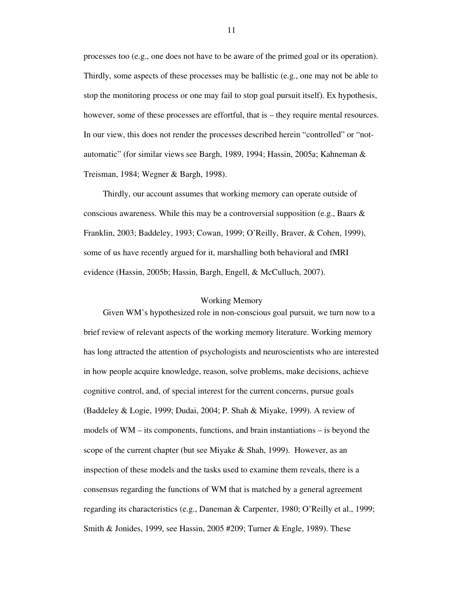processes too (e.g., one does not have to be aware of the primed goal or its operation). Thirdly, some aspects of these processes may be ballistic (e.g., one may not be able to stop the monitoring process or one may fail to stop goal pursuit itself). Ex hypothesis, however, some of these processes are effortful, that is – they require mental resources. In our view, this does not render the processes described herein "controlled" or "notautomatic" (for similar views see Bargh, 1989, 1994; Hassin, 2005a; Kahneman & Treisman, 1984; Wegner & Bargh, 1998).

Thirdly, our account assumes that working memory can operate outside of conscious awareness. While this may be a controversial supposition (e.g., Baars  $\&$ Franklin, 2003; Baddeley, 1993; Cowan, 1999; O'Reilly, Braver, & Cohen, 1999), some of us have recently argued for it, marshalling both behavioral and fMRI evidence (Hassin, 2005b; Hassin, Bargh, Engell, & McCulluch, 2007).

# Working Memory

Given WM's hypothesized role in non-conscious goal pursuit, we turn now to a brief review of relevant aspects of the working memory literature. Working memory has long attracted the attention of psychologists and neuroscientists who are interested in how people acquire knowledge, reason, solve problems, make decisions, achieve cognitive control, and, of special interest for the current concerns, pursue goals (Baddeley & Logie, 1999; Dudai, 2004; P. Shah & Miyake, 1999). A review of models of WM – its components, functions, and brain instantiations – is beyond the scope of the current chapter (but see Miyake & Shah, 1999). However, as an inspection of these models and the tasks used to examine them reveals, there is a consensus regarding the functions of WM that is matched by a general agreement regarding its characteristics (e.g., Daneman & Carpenter, 1980; O'Reilly et al., 1999; Smith & Jonides, 1999, see Hassin, 2005 #209; Turner & Engle, 1989). These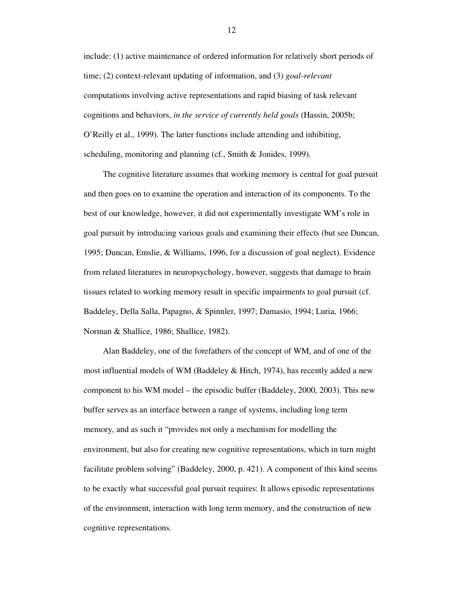include: (1) active maintenance of ordered information for relatively short periods of time; (2) context-relevant updating of information, and (3) *goal-relevant* computations involving active representations and rapid biasing of task relevant cognitions and behaviors, *in the service of currently held goals* (Hassin, 2005b; O'Reilly et al., 1999). The latter functions include attending and inhibiting, scheduling, monitoring and planning (cf., Smith & Jonides, 1999).

The cognitive literature assumes that working memory is central for goal pursuit and then goes on to examine the operation and interaction of its components. To the best of our knowledge, however, it did not experimentally investigate WM's role in goal pursuit by introducing various goals and examining their effects (but see Duncan, 1995; Duncan, Emslie, & Williams, 1996, for a discussion of goal neglect). Evidence from related literatures in neuropsychology, however, suggests that damage to brain tissues related to working memory result in specific impairments to goal pursuit (cf. Baddeley, Della Salla, Papagno, & Spinnler, 1997; Damasio, 1994; Luria, 1966; Norman & Shallice, 1986; Shallice, 1982).

Alan Baddeley, one of the forefathers of the concept of WM, and of one of the most influential models of WM (Baddeley & Hitch, 1974), has recently added a new component to his WM model – the episodic buffer (Baddeley, 2000, 2003). This new buffer serves as an interface between a range of systems, including long term memory, and as such it "provides not only a mechanism for modelling the environment, but also for creating new cognitive representations, which in turn might facilitate problem solving" (Baddeley, 2000, p. 421). A component of this kind seems to be exactly what successful goal pursuit requires: It allows episodic representations of the environment, interaction with long term memory, and the construction of new cognitive representations.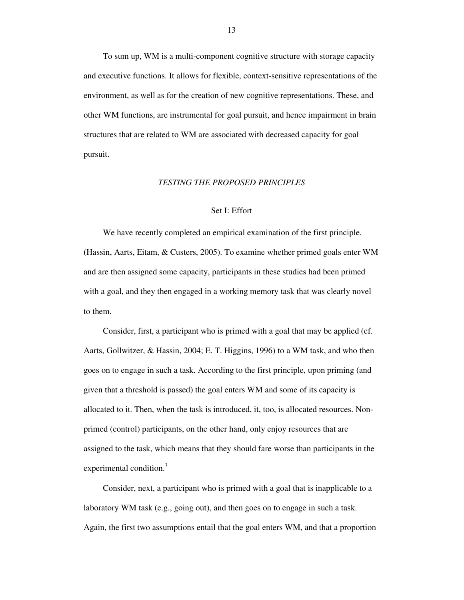To sum up, WM is a multi-component cognitive structure with storage capacity and executive functions. It allows for flexible, context-sensitive representations of the environment, as well as for the creation of new cognitive representations. These, and other WM functions, are instrumental for goal pursuit, and hence impairment in brain structures that are related to WM are associated with decreased capacity for goal pursuit.

# *TESTING THE PROPOSED PRINCIPLES*

# Set I: Effort

We have recently completed an empirical examination of the first principle. (Hassin, Aarts, Eitam, & Custers, 2005). To examine whether primed goals enter WM and are then assigned some capacity, participants in these studies had been primed with a goal, and they then engaged in a working memory task that was clearly novel to them.

Consider, first, a participant who is primed with a goal that may be applied (cf. Aarts, Gollwitzer, & Hassin, 2004; E. T. Higgins, 1996) to a WM task, and who then goes on to engage in such a task. According to the first principle, upon priming (and given that a threshold is passed) the goal enters WM and some of its capacity is allocated to it. Then, when the task is introduced, it, too, is allocated resources. Nonprimed (control) participants, on the other hand, only enjoy resources that are assigned to the task, which means that they should fare worse than participants in the experimental condition.<sup>3</sup>

Consider, next, a participant who is primed with a goal that is inapplicable to a laboratory WM task (e.g., going out), and then goes on to engage in such a task. Again, the first two assumptions entail that the goal enters WM, and that a proportion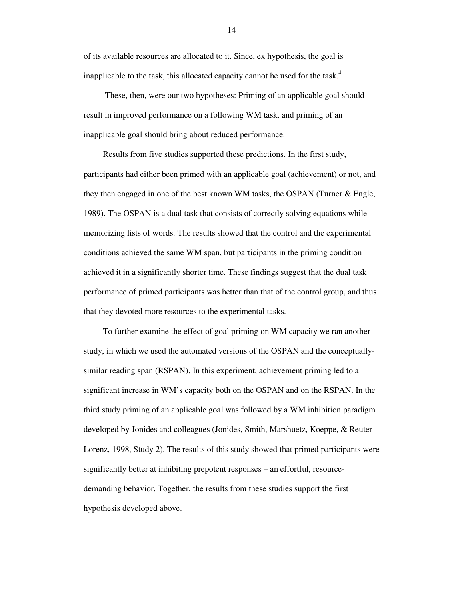of its available resources are allocated to it. Since, ex hypothesis, the goal is inapplicable to the task, this allocated capacity cannot be used for the task.<sup>4</sup>

These, then, were our two hypotheses: Priming of an applicable goal should result in improved performance on a following WM task, and priming of an inapplicable goal should bring about reduced performance.

Results from five studies supported these predictions. In the first study, participants had either been primed with an applicable goal (achievement) or not, and they then engaged in one of the best known WM tasks, the OSPAN (Turner & Engle, 1989). The OSPAN is a dual task that consists of correctly solving equations while memorizing lists of words. The results showed that the control and the experimental conditions achieved the same WM span, but participants in the priming condition achieved it in a significantly shorter time. These findings suggest that the dual task performance of primed participants was better than that of the control group, and thus that they devoted more resources to the experimental tasks.

To further examine the effect of goal priming on WM capacity we ran another study, in which we used the automated versions of the OSPAN and the conceptuallysimilar reading span (RSPAN). In this experiment, achievement priming led to a significant increase in WM's capacity both on the OSPAN and on the RSPAN. In the third study priming of an applicable goal was followed by a WM inhibition paradigm developed by Jonides and colleagues (Jonides, Smith, Marshuetz, Koeppe, & Reuter-Lorenz, 1998, Study 2). The results of this study showed that primed participants were significantly better at inhibiting prepotent responses – an effortful, resourcedemanding behavior. Together, the results from these studies support the first hypothesis developed above.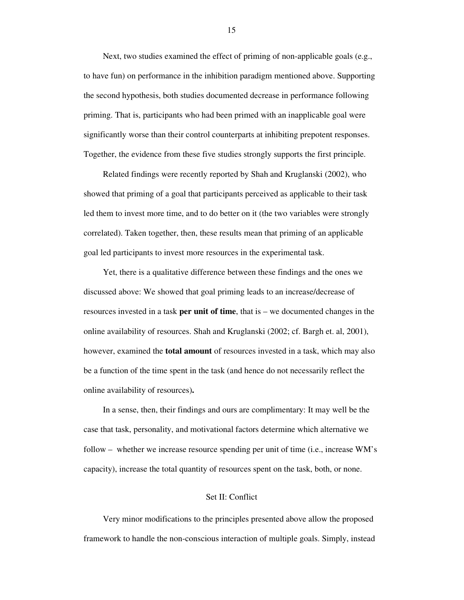Next, two studies examined the effect of priming of non-applicable goals (e.g., to have fun) on performance in the inhibition paradigm mentioned above. Supporting the second hypothesis, both studies documented decrease in performance following priming. That is, participants who had been primed with an inapplicable goal were significantly worse than their control counterparts at inhibiting prepotent responses. Together, the evidence from these five studies strongly supports the first principle.

Related findings were recently reported by Shah and Kruglanski (2002), who showed that priming of a goal that participants perceived as applicable to their task led them to invest more time, and to do better on it (the two variables were strongly correlated). Taken together, then, these results mean that priming of an applicable goal led participants to invest more resources in the experimental task.

Yet, there is a qualitative difference between these findings and the ones we discussed above: We showed that goal priming leads to an increase/decrease of resources invested in a task **per unit of time**, that is – we documented changes in the online availability of resources. Shah and Kruglanski (2002; cf. Bargh et. al, 2001), however, examined the **total amount** of resources invested in a task, which may also be a function of the time spent in the task (and hence do not necessarily reflect the online availability of resources)**.**

In a sense, then, their findings and ours are complimentary: It may well be the case that task, personality, and motivational factors determine which alternative we follow – whether we increase resource spending per unit of time (i.e., increase WM's capacity), increase the total quantity of resources spent on the task, both, or none.

# Set II: Conflict

Very minor modifications to the principles presented above allow the proposed framework to handle the non-conscious interaction of multiple goals. Simply, instead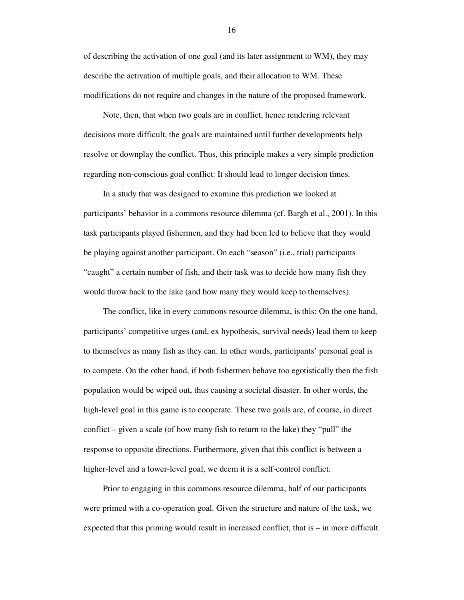of describing the activation of one goal (and its later assignment to WM), they may describe the activation of multiple goals, and their allocation to WM. These modifications do not require and changes in the nature of the proposed framework.

Note, then, that when two goals are in conflict, hence rendering relevant decisions more difficult, the goals are maintained until further developments help resolve or downplay the conflict. Thus, this principle makes a very simple prediction regarding non-conscious goal conflict: It should lead to longer decision times.

In a study that was designed to examine this prediction we looked at participants' behavior in a commons resource dilemma (cf. Bargh et al., 2001). In this task participants played fishermen, and they had been led to believe that they would be playing against another participant. On each "season" (i.e., trial) participants "caught" a certain number of fish, and their task was to decide how many fish they would throw back to the lake (and how many they would keep to themselves).

The conflict, like in every commons resource dilemma, is this: On the one hand, participants' competitive urges (and, ex hypothesis, survival needs) lead them to keep to themselves as many fish as they can. In other words, participants' personal goal is to compete. On the other hand, if both fishermen behave too egotistically then the fish population would be wiped out, thus causing a societal disaster. In other words, the high-level goal in this game is to cooperate. These two goals are, of course, in direct conflict – given a scale (of how many fish to return to the lake) they "pull" the response to opposite directions. Furthermore, given that this conflict is between a higher-level and a lower-level goal, we deem it is a self-control conflict.

Prior to engaging in this commons resource dilemma, half of our participants were primed with a co-operation goal. Given the structure and nature of the task, we expected that this priming would result in increased conflict, that is – in more difficult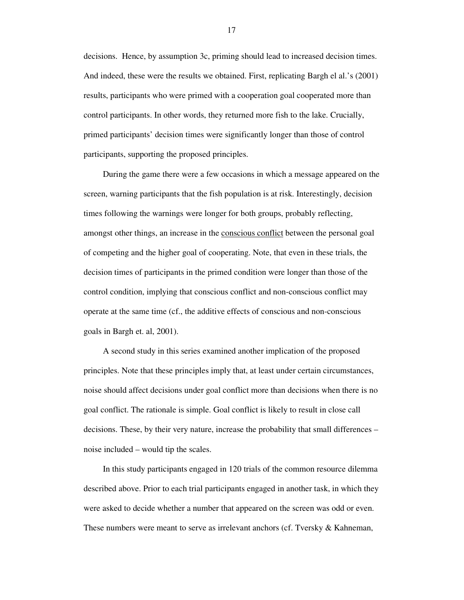decisions. Hence, by assumption 3c, priming should lead to increased decision times. And indeed, these were the results we obtained. First, replicating Bargh el al.'s (2001) results, participants who were primed with a cooperation goal cooperated more than control participants. In other words, they returned more fish to the lake. Crucially, primed participants' decision times were significantly longer than those of control participants, supporting the proposed principles.

During the game there were a few occasions in which a message appeared on the screen, warning participants that the fish population is at risk. Interestingly, decision times following the warnings were longer for both groups, probably reflecting, amongst other things, an increase in the conscious conflict between the personal goal of competing and the higher goal of cooperating. Note, that even in these trials, the decision times of participants in the primed condition were longer than those of the control condition, implying that conscious conflict and non-conscious conflict may operate at the same time (cf., the additive effects of conscious and non-conscious goals in Bargh et. al, 2001).

A second study in this series examined another implication of the proposed principles. Note that these principles imply that, at least under certain circumstances, noise should affect decisions under goal conflict more than decisions when there is no goal conflict. The rationale is simple. Goal conflict is likely to result in close call decisions. These, by their very nature, increase the probability that small differences – noise included – would tip the scales.

In this study participants engaged in 120 trials of the common resource dilemma described above. Prior to each trial participants engaged in another task, in which they were asked to decide whether a number that appeared on the screen was odd or even. These numbers were meant to serve as irrelevant anchors (cf. Tversky & Kahneman,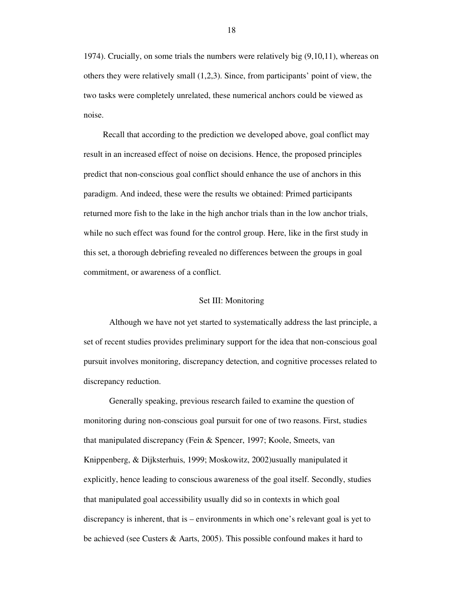1974). Crucially, on some trials the numbers were relatively big (9,10,11), whereas on others they were relatively small (1,2,3). Since, from participants' point of view, the two tasks were completely unrelated, these numerical anchors could be viewed as noise.

Recall that according to the prediction we developed above, goal conflict may result in an increased effect of noise on decisions. Hence, the proposed principles predict that non-conscious goal conflict should enhance the use of anchors in this paradigm. And indeed, these were the results we obtained: Primed participants returned more fish to the lake in the high anchor trials than in the low anchor trials, while no such effect was found for the control group. Here, like in the first study in this set, a thorough debriefing revealed no differences between the groups in goal commitment, or awareness of a conflict.

## Set III: Monitoring

Although we have not yet started to systematically address the last principle, a set of recent studies provides preliminary support for the idea that non-conscious goal pursuit involves monitoring, discrepancy detection, and cognitive processes related to discrepancy reduction.

Generally speaking, previous research failed to examine the question of monitoring during non-conscious goal pursuit for one of two reasons. First, studies that manipulated discrepancy (Fein & Spencer, 1997; Koole, Smeets, van Knippenberg, & Dijksterhuis, 1999; Moskowitz, 2002)usually manipulated it explicitly, hence leading to conscious awareness of the goal itself. Secondly, studies that manipulated goal accessibility usually did so in contexts in which goal discrepancy is inherent, that is – environments in which one's relevant goal is yet to be achieved (see Custers & Aarts, 2005). This possible confound makes it hard to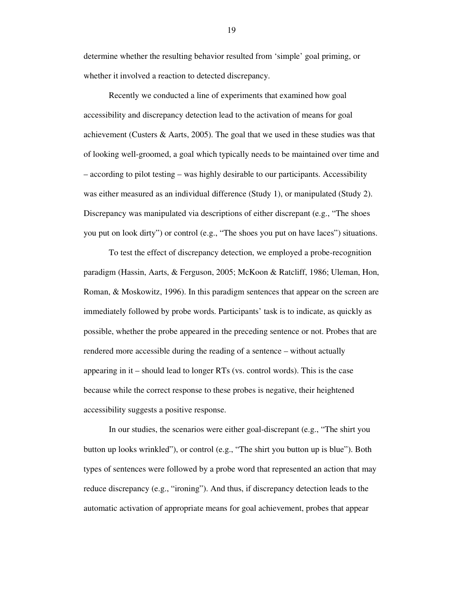determine whether the resulting behavior resulted from 'simple' goal priming, or whether it involved a reaction to detected discrepancy.

Recently we conducted a line of experiments that examined how goal accessibility and discrepancy detection lead to the activation of means for goal achievement (Custers & Aarts, 2005). The goal that we used in these studies was that of looking well-groomed, a goal which typically needs to be maintained over time and – according to pilot testing – was highly desirable to our participants. Accessibility was either measured as an individual difference (Study 1), or manipulated (Study 2). Discrepancy was manipulated via descriptions of either discrepant (e.g., "The shoes you put on look dirty") or control (e.g., "The shoes you put on have laces") situations.

To test the effect of discrepancy detection, we employed a probe-recognition paradigm (Hassin, Aarts, & Ferguson, 2005; McKoon & Ratcliff, 1986; Uleman, Hon, Roman, & Moskowitz, 1996). In this paradigm sentences that appear on the screen are immediately followed by probe words. Participants' task is to indicate, as quickly as possible, whether the probe appeared in the preceding sentence or not. Probes that are rendered more accessible during the reading of a sentence – without actually appearing in it – should lead to longer RTs (vs. control words). This is the case because while the correct response to these probes is negative, their heightened accessibility suggests a positive response.

In our studies, the scenarios were either goal-discrepant (e.g., "The shirt you button up looks wrinkled"), or control (e.g., "The shirt you button up is blue"). Both types of sentences were followed by a probe word that represented an action that may reduce discrepancy (e.g., "ironing"). And thus, if discrepancy detection leads to the automatic activation of appropriate means for goal achievement, probes that appear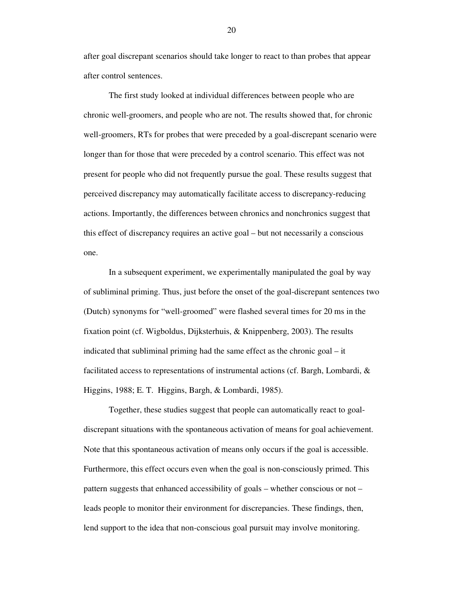after goal discrepant scenarios should take longer to react to than probes that appear after control sentences.

The first study looked at individual differences between people who are chronic well-groomers, and people who are not. The results showed that, for chronic well-groomers, RTs for probes that were preceded by a goal-discrepant scenario were longer than for those that were preceded by a control scenario. This effect was not present for people who did not frequently pursue the goal. These results suggest that perceived discrepancy may automatically facilitate access to discrepancy-reducing actions. Importantly, the differences between chronics and nonchronics suggest that this effect of discrepancy requires an active goal – but not necessarily a conscious one.

In a subsequent experiment, we experimentally manipulated the goal by way of subliminal priming. Thus, just before the onset of the goal-discrepant sentences two (Dutch) synonyms for "well-groomed" were flashed several times for 20 ms in the fixation point (cf. Wigboldus, Dijksterhuis, & Knippenberg, 2003). The results indicated that subliminal priming had the same effect as the chronic goal – it facilitated access to representations of instrumental actions (cf. Bargh, Lombardi, & Higgins, 1988; E. T. Higgins, Bargh, & Lombardi, 1985).

Together, these studies suggest that people can automatically react to goaldiscrepant situations with the spontaneous activation of means for goal achievement. Note that this spontaneous activation of means only occurs if the goal is accessible. Furthermore, this effect occurs even when the goal is non-consciously primed. This pattern suggests that enhanced accessibility of goals – whether conscious or not – leads people to monitor their environment for discrepancies. These findings, then, lend support to the idea that non-conscious goal pursuit may involve monitoring.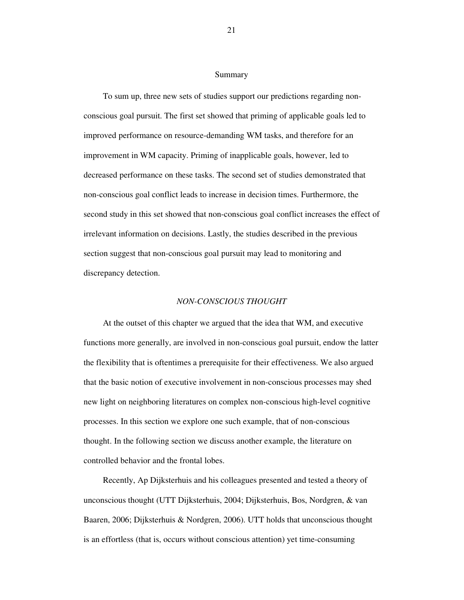## Summary

To sum up, three new sets of studies support our predictions regarding nonconscious goal pursuit. The first set showed that priming of applicable goals led to improved performance on resource-demanding WM tasks, and therefore for an improvement in WM capacity. Priming of inapplicable goals, however, led to decreased performance on these tasks. The second set of studies demonstrated that non-conscious goal conflict leads to increase in decision times. Furthermore, the second study in this set showed that non-conscious goal conflict increases the effect of irrelevant information on decisions. Lastly, the studies described in the previous section suggest that non-conscious goal pursuit may lead to monitoring and discrepancy detection.

#### *NON-CONSCIOUS THOUGHT*

At the outset of this chapter we argued that the idea that WM, and executive functions more generally, are involved in non-conscious goal pursuit, endow the latter the flexibility that is oftentimes a prerequisite for their effectiveness. We also argued that the basic notion of executive involvement in non-conscious processes may shed new light on neighboring literatures on complex non-conscious high-level cognitive processes. In this section we explore one such example, that of non-conscious thought. In the following section we discuss another example, the literature on controlled behavior and the frontal lobes.

Recently, Ap Dijksterhuis and his colleagues presented and tested a theory of unconscious thought (UTT Dijksterhuis, 2004; Dijksterhuis, Bos, Nordgren, & van Baaren, 2006; Dijksterhuis & Nordgren, 2006). UTT holds that unconscious thought is an effortless (that is, occurs without conscious attention) yet time-consuming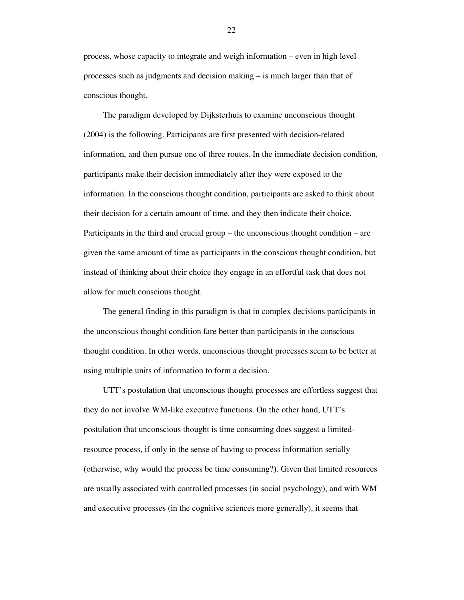process, whose capacity to integrate and weigh information – even in high level processes such as judgments and decision making – is much larger than that of conscious thought.

The paradigm developed by Dijksterhuis to examine unconscious thought (2004) is the following. Participants are first presented with decision-related information, and then pursue one of three routes. In the immediate decision condition, participants make their decision immediately after they were exposed to the information. In the conscious thought condition, participants are asked to think about their decision for a certain amount of time, and they then indicate their choice. Participants in the third and crucial group – the unconscious thought condition – are given the same amount of time as participants in the conscious thought condition, but instead of thinking about their choice they engage in an effortful task that does not allow for much conscious thought.

The general finding in this paradigm is that in complex decisions participants in the unconscious thought condition fare better than participants in the conscious thought condition. In other words, unconscious thought processes seem to be better at using multiple units of information to form a decision.

UTT's postulation that unconscious thought processes are effortless suggest that they do not involve WM-like executive functions. On the other hand, UTT's postulation that unconscious thought is time consuming does suggest a limitedresource process, if only in the sense of having to process information serially (otherwise, why would the process be time consuming?). Given that limited resources are usually associated with controlled processes (in social psychology), and with WM and executive processes (in the cognitive sciences more generally), it seems that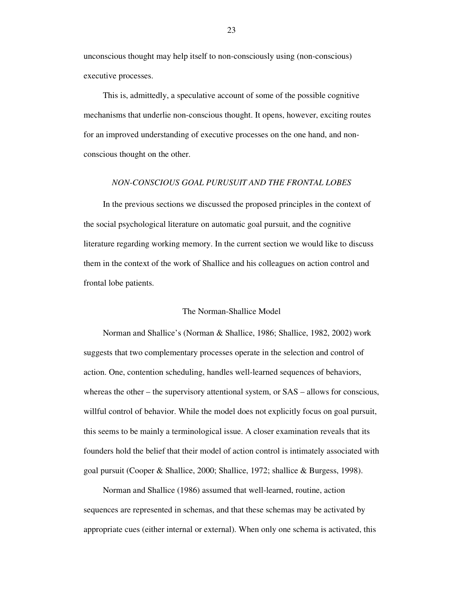unconscious thought may help itself to non-consciously using (non-conscious) executive processes.

This is, admittedly, a speculative account of some of the possible cognitive mechanisms that underlie non-conscious thought. It opens, however, exciting routes for an improved understanding of executive processes on the one hand, and nonconscious thought on the other.

## *NON-CONSCIOUS GOAL PURUSUIT AND THE FRONTAL LOBES*

In the previous sections we discussed the proposed principles in the context of the social psychological literature on automatic goal pursuit, and the cognitive literature regarding working memory. In the current section we would like to discuss them in the context of the work of Shallice and his colleagues on action control and frontal lobe patients.

# The Norman-Shallice Model

Norman and Shallice's (Norman & Shallice, 1986; Shallice, 1982, 2002) work suggests that two complementary processes operate in the selection and control of action. One, contention scheduling, handles well-learned sequences of behaviors, whereas the other – the supervisory attentional system, or SAS – allows for conscious, willful control of behavior. While the model does not explicitly focus on goal pursuit, this seems to be mainly a terminological issue. A closer examination reveals that its founders hold the belief that their model of action control is intimately associated with goal pursuit (Cooper & Shallice, 2000; Shallice, 1972; shallice & Burgess, 1998).

Norman and Shallice (1986) assumed that well-learned, routine, action sequences are represented in schemas, and that these schemas may be activated by appropriate cues (either internal or external). When only one schema is activated, this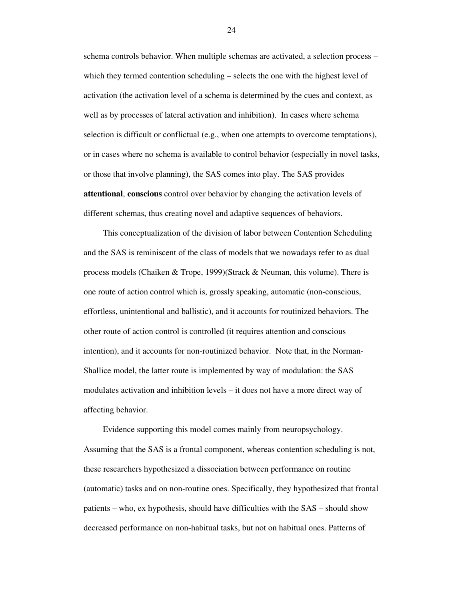schema controls behavior. When multiple schemas are activated, a selection process – which they termed contention scheduling – selects the one with the highest level of activation (the activation level of a schema is determined by the cues and context, as well as by processes of lateral activation and inhibition). In cases where schema selection is difficult or conflictual (e.g., when one attempts to overcome temptations), or in cases where no schema is available to control behavior (especially in novel tasks, or those that involve planning), the SAS comes into play. The SAS provides **attentional**, **conscious** control over behavior by changing the activation levels of different schemas, thus creating novel and adaptive sequences of behaviors.

This conceptualization of the division of labor between Contention Scheduling and the SAS is reminiscent of the class of models that we nowadays refer to as dual process models (Chaiken & Trope, 1999)(Strack & Neuman, this volume). There is one route of action control which is, grossly speaking, automatic (non-conscious, effortless, unintentional and ballistic), and it accounts for routinized behaviors. The other route of action control is controlled (it requires attention and conscious intention), and it accounts for non-routinized behavior. Note that, in the Norman-Shallice model, the latter route is implemented by way of modulation: the SAS modulates activation and inhibition levels – it does not have a more direct way of affecting behavior.

Evidence supporting this model comes mainly from neuropsychology. Assuming that the SAS is a frontal component, whereas contention scheduling is not, these researchers hypothesized a dissociation between performance on routine (automatic) tasks and on non-routine ones. Specifically, they hypothesized that frontal patients – who, ex hypothesis, should have difficulties with the SAS – should show decreased performance on non-habitual tasks, but not on habitual ones. Patterns of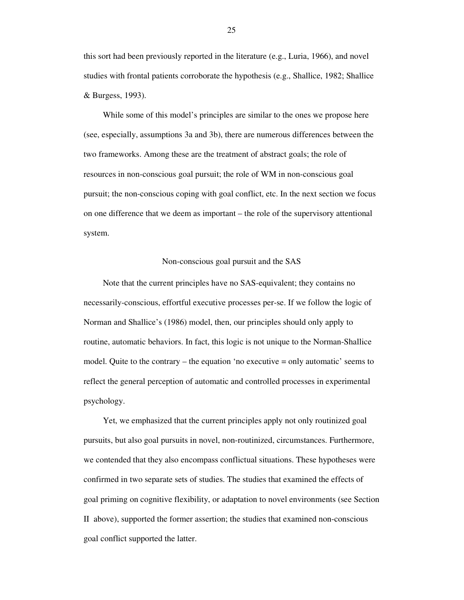this sort had been previously reported in the literature (e.g., Luria, 1966), and novel studies with frontal patients corroborate the hypothesis (e.g., Shallice, 1982; Shallice & Burgess, 1993).

While some of this model's principles are similar to the ones we propose here (see, especially, assumptions 3a and 3b), there are numerous differences between the two frameworks. Among these are the treatment of abstract goals; the role of resources in non-conscious goal pursuit; the role of WM in non-conscious goal pursuit; the non-conscious coping with goal conflict, etc. In the next section we focus on one difference that we deem as important – the role of the supervisory attentional system.

# Non-conscious goal pursuit and the SAS

Note that the current principles have no SAS-equivalent; they contains no necessarily-conscious, effortful executive processes per-se. If we follow the logic of Norman and Shallice's (1986) model, then, our principles should only apply to routine, automatic behaviors. In fact, this logic is not unique to the Norman-Shallice model. Quite to the contrary – the equation 'no executive = only automatic' seems to reflect the general perception of automatic and controlled processes in experimental psychology.

Yet, we emphasized that the current principles apply not only routinized goal pursuits, but also goal pursuits in novel, non-routinized, circumstances. Furthermore, we contended that they also encompass conflictual situations. These hypotheses were confirmed in two separate sets of studies. The studies that examined the effects of goal priming on cognitive flexibility, or adaptation to novel environments (see Section II above), supported the former assertion; the studies that examined non-conscious goal conflict supported the latter.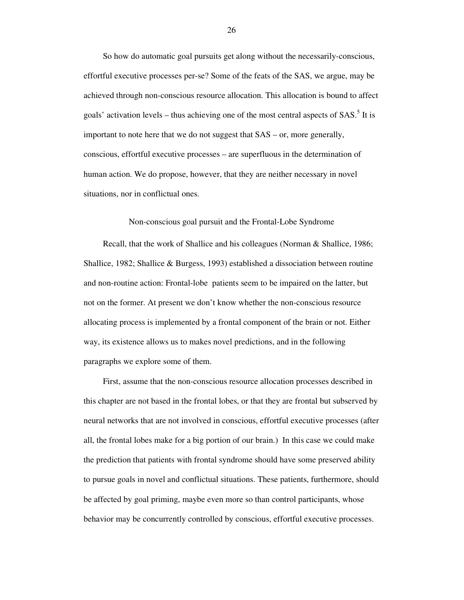So how do automatic goal pursuits get along without the necessarily-conscious, effortful executive processes per-se? Some of the feats of the SAS, we argue, may be achieved through non-conscious resource allocation. This allocation is bound to affect goals' activation levels – thus achieving one of the most central aspects of  $SAS$ <sup>5</sup>. It is important to note here that we do not suggest that SAS – or, more generally, conscious, effortful executive processes – are superfluous in the determination of human action. We do propose, however, that they are neither necessary in novel situations, nor in conflictual ones.

Non-conscious goal pursuit and the Frontal-Lobe Syndrome

Recall, that the work of Shallice and his colleagues (Norman & Shallice, 1986; Shallice, 1982; Shallice & Burgess, 1993) established a dissociation between routine and non-routine action: Frontal-lobe patients seem to be impaired on the latter, but not on the former. At present we don't know whether the non-conscious resource allocating process is implemented by a frontal component of the brain or not. Either way, its existence allows us to makes novel predictions, and in the following paragraphs we explore some of them.

First, assume that the non-conscious resource allocation processes described in this chapter are not based in the frontal lobes, or that they are frontal but subserved by neural networks that are not involved in conscious, effortful executive processes (after all, the frontal lobes make for a big portion of our brain.) In this case we could make the prediction that patients with frontal syndrome should have some preserved ability to pursue goals in novel and conflictual situations. These patients, furthermore, should be affected by goal priming, maybe even more so than control participants, whose behavior may be concurrently controlled by conscious, effortful executive processes.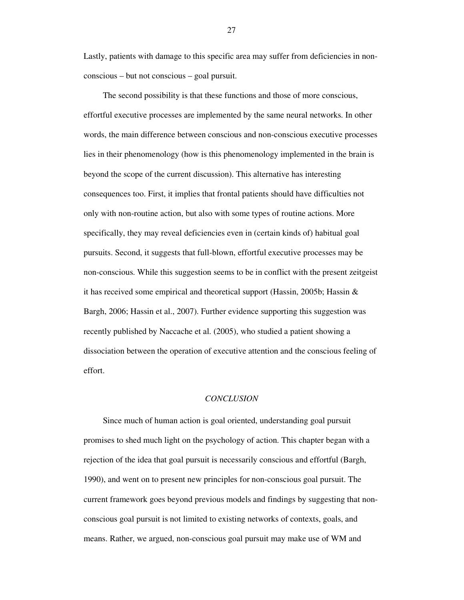Lastly, patients with damage to this specific area may suffer from deficiencies in nonconscious – but not conscious – goal pursuit.

The second possibility is that these functions and those of more conscious, effortful executive processes are implemented by the same neural networks. In other words, the main difference between conscious and non-conscious executive processes lies in their phenomenology (how is this phenomenology implemented in the brain is beyond the scope of the current discussion). This alternative has interesting consequences too. First, it implies that frontal patients should have difficulties not only with non-routine action, but also with some types of routine actions. More specifically, they may reveal deficiencies even in (certain kinds of) habitual goal pursuits. Second, it suggests that full-blown, effortful executive processes may be non-conscious. While this suggestion seems to be in conflict with the present zeitgeist it has received some empirical and theoretical support (Hassin, 2005b; Hassin  $\&$ Bargh, 2006; Hassin et al., 2007). Further evidence supporting this suggestion was recently published by Naccache et al. (2005), who studied a patient showing a dissociation between the operation of executive attention and the conscious feeling of effort.

# *CONCLUSION*

Since much of human action is goal oriented, understanding goal pursuit promises to shed much light on the psychology of action. This chapter began with a rejection of the idea that goal pursuit is necessarily conscious and effortful (Bargh, 1990), and went on to present new principles for non-conscious goal pursuit. The current framework goes beyond previous models and findings by suggesting that nonconscious goal pursuit is not limited to existing networks of contexts, goals, and means. Rather, we argued, non-conscious goal pursuit may make use of WM and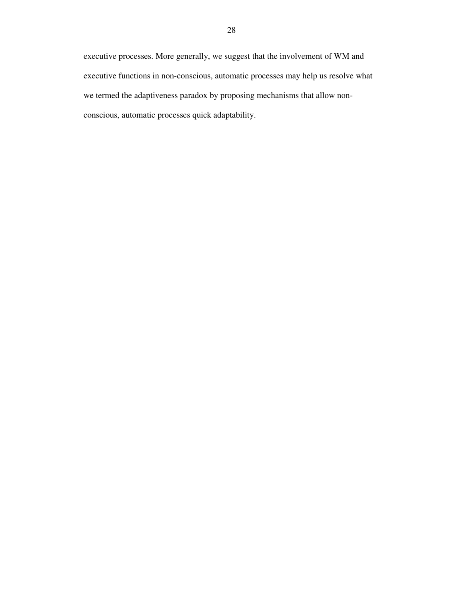executive processes. More generally, we suggest that the involvement of WM and executive functions in non-conscious, automatic processes may help us resolve what we termed the adaptiveness paradox by proposing mechanisms that allow nonconscious, automatic processes quick adaptability.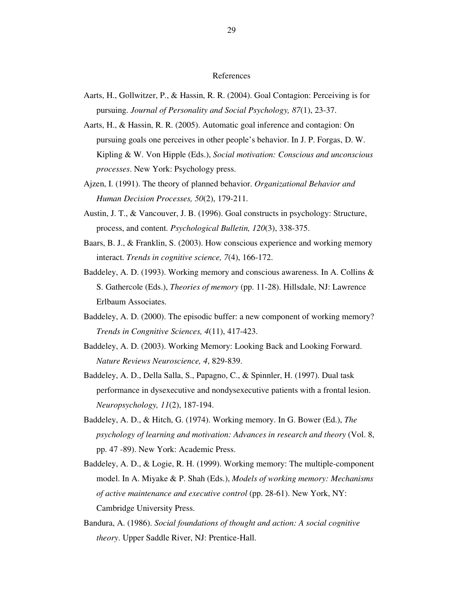## References

- Aarts, H., Gollwitzer, P., & Hassin, R. R. (2004). Goal Contagion: Perceiving is for pursuing. *Journal of Personality and Social Psychology, 87*(1), 23-37.
- Aarts, H., & Hassin, R. R. (2005). Automatic goal inference and contagion: On pursuing goals one perceives in other people's behavior. In J. P. Forgas, D. W. Kipling & W. Von Hipple (Eds.), *Social motivation: Conscious and unconscious processes*. New York: Psychology press.
- Ajzen, I. (1991). The theory of planned behavior. *Organizational Behavior and Human Decision Processes, 50*(2), 179-211.
- Austin, J. T., & Vancouver, J. B. (1996). Goal constructs in psychology: Structure, process, and content. *Psychological Bulletin, 120*(3), 338-375.
- Baars, B. J., & Franklin, S. (2003). How conscious experience and working memory interact. *Trends in cognitive science, 7*(4), 166-172.
- Baddeley, A. D. (1993). Working memory and conscious awareness. In A. Collins & S. Gathercole (Eds.), *Theories of memory* (pp. 11-28). Hillsdale, NJ: Lawrence Erlbaum Associates.
- Baddeley, A. D. (2000). The episodic buffer: a new component of working memory? *Trends in Congnitive Sciences, 4*(11), 417-423.
- Baddeley, A. D. (2003). Working Memory: Looking Back and Looking Forward. *Nature Reviews Neuroscience, 4*, 829-839.
- Baddeley, A. D., Della Salla, S., Papagno, C., & Spinnler, H. (1997). Dual task performance in dysexecutive and nondysexecutive patients with a frontal lesion. *Neuropsychology, 11*(2), 187-194.
- Baddeley, A. D., & Hitch, G. (1974). Working memory. In G. Bower (Ed.), *The psychology of learning and motivation: Advances in research and theory* (Vol. 8, pp. 47 -89). New York: Academic Press.
- Baddeley, A. D., & Logie, R. H. (1999). Working memory: The multiple-component model. In A. Miyake & P. Shah (Eds.), *Models of working memory: Mechanisms of active maintenance and executive control* (pp. 28-61). New York, NY: Cambridge University Press.
- Bandura, A. (1986). *Social foundations of thought and action: A social cognitive theory*. Upper Saddle River, NJ: Prentice-Hall.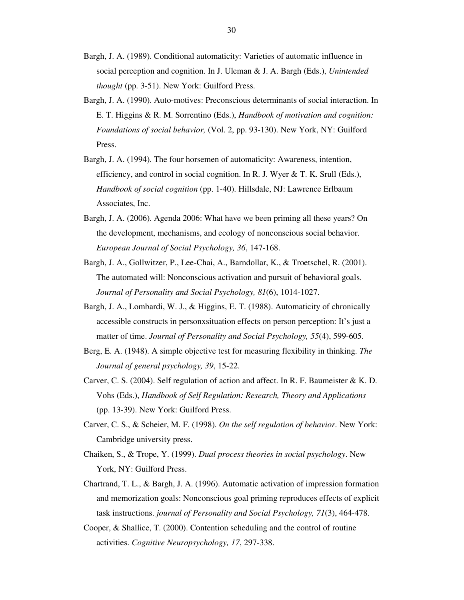- Bargh, J. A. (1989). Conditional automaticity: Varieties of automatic influence in social perception and cognition. In J. Uleman & J. A. Bargh (Eds.), *Unintended thought* (pp. 3-51). New York: Guilford Press.
- Bargh, J. A. (1990). Auto-motives: Preconscious determinants of social interaction. In E. T. Higgins & R. M. Sorrentino (Eds.), *Handbook of motivation and cognition: Foundations of social behavior,* (Vol. 2, pp. 93-130). New York, NY: Guilford Press.
- Bargh, J. A. (1994). The four horsemen of automaticity: Awareness, intention, efficiency, and control in social cognition. In R. J. Wyer & T. K. Srull (Eds.), *Handbook of social cognition* (pp. 1-40). Hillsdale, NJ: Lawrence Erlbaum Associates, Inc.
- Bargh, J. A. (2006). Agenda 2006: What have we been priming all these years? On the development, mechanisms, and ecology of nonconscious social behavior. *European Journal of Social Psychology, 36*, 147-168.
- Bargh, J. A., Gollwitzer, P., Lee-Chai, A., Barndollar, K., & Troetschel, R. (2001). The automated will: Nonconscious activation and pursuit of behavioral goals. *Journal of Personality and Social Psychology, 81*(6), 1014-1027.
- Bargh, J. A., Lombardi, W. J., & Higgins, E. T. (1988). Automaticity of chronically accessible constructs in personxsituation effects on person perception: It's just a matter of time. *Journal of Personality and Social Psychology, 55*(4), 599-605.
- Berg, E. A. (1948). A simple objective test for measuring flexibility in thinking. *The Journal of general psychology, 39*, 15-22.
- Carver, C. S. (2004). Self regulation of action and affect. In R. F. Baumeister & K. D. Vohs (Eds.), *Handbook of Self Regulation: Research, Theory and Applications* (pp. 13-39). New York: Guilford Press.
- Carver, C. S., & Scheier, M. F. (1998). *On the self regulation of behavior*. New York: Cambridge university press.
- Chaiken, S., & Trope, Y. (1999). *Dual process theories in social psychology*. New York, NY: Guilford Press.
- Chartrand, T. L., & Bargh, J. A. (1996). Automatic activation of impression formation and memorization goals: Nonconscious goal priming reproduces effects of explicit task instructions. *journal of Personality and Social Psychology, 71*(3), 464-478.
- Cooper, & Shallice, T. (2000). Contention scheduling and the control of routine activities. *Cognitive Neuropsychology, 17*, 297-338.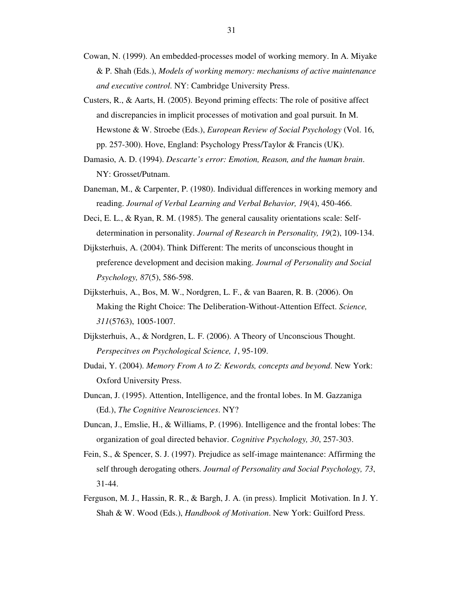- Cowan, N. (1999). An embedded-processes model of working memory. In A. Miyake & P. Shah (Eds.), *Models of working memory: mechanisms of active maintenance and executive control*. NY: Cambridge University Press.
- Custers, R., & Aarts, H. (2005). Beyond priming effects: The role of positive affect and discrepancies in implicit processes of motivation and goal pursuit. In M. Hewstone & W. Stroebe (Eds.), *European Review of Social Psychology* (Vol. 16, pp. 257-300). Hove, England: Psychology Press/Taylor & Francis (UK).
- Damasio, A. D. (1994). *Descarte's error: Emotion, Reason, and the human brain*. NY: Grosset/Putnam.
- Daneman, M., & Carpenter, P. (1980). Individual differences in working memory and reading. *Journal of Verbal Learning and Verbal Behavior, 19*(4), 450-466.
- Deci, E. L., & Ryan, R. M. (1985). The general causality orientations scale: Selfdetermination in personality. *Journal of Research in Personality, 19*(2), 109-134.
- Dijksterhuis, A. (2004). Think Different: The merits of unconscious thought in preference development and decision making. *Journal of Personality and Social Psychology, 87*(5), 586-598.
- Dijksterhuis, A., Bos, M. W., Nordgren, L. F., & van Baaren, R. B. (2006). On Making the Right Choice: The Deliberation-Without-Attention Effect. *Science, 311*(5763), 1005-1007.
- Dijksterhuis, A., & Nordgren, L. F. (2006). A Theory of Unconscious Thought. *Perspecitves on Psychological Science, 1*, 95-109.
- Dudai, Y. (2004). *Memory From A to Z: Kewords, concepts and beyond*. New York: Oxford University Press.
- Duncan, J. (1995). Attention, Intelligence, and the frontal lobes. In M. Gazzaniga (Ed.), *The Cognitive Neurosciences*. NY?
- Duncan, J., Emslie, H., & Williams, P. (1996). Intelligence and the frontal lobes: The organization of goal directed behavior. *Cognitive Psychology, 30*, 257-303.
- Fein, S., & Spencer, S. J. (1997). Prejudice as self-image maintenance: Affirming the self through derogating others. *Journal of Personality and Social Psychology, 73*, 31-44.
- Ferguson, M. J., Hassin, R. R., & Bargh, J. A. (in press). Implicit Motivation. In J. Y. Shah & W. Wood (Eds.), *Handbook of Motivation*. New York: Guilford Press.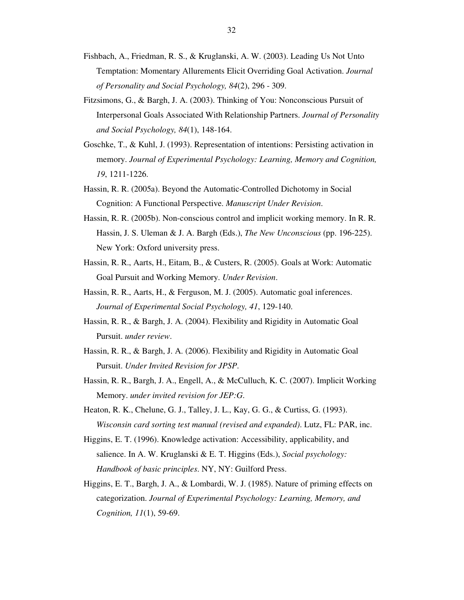- Fishbach, A., Friedman, R. S., & Kruglanski, A. W. (2003). Leading Us Not Unto Temptation: Momentary Allurements Elicit Overriding Goal Activation. *Journal of Personality and Social Psychology, 84*(2), 296 - 309.
- Fitzsimons, G., & Bargh, J. A. (2003). Thinking of You: Nonconscious Pursuit of Interpersonal Goals Associated With Relationship Partners. *Journal of Personality and Social Psychology, 84*(1), 148-164.
- Goschke, T., & Kuhl, J. (1993). Representation of intentions: Persisting activation in memory. *Journal of Experimental Psychology: Learning, Memory and Cognition, 19*, 1211-1226.
- Hassin, R. R. (2005a). Beyond the Automatic-Controlled Dichotomy in Social Cognition: A Functional Perspective. *Manuscript Under Revision*.
- Hassin, R. R. (2005b). Non-conscious control and implicit working memory. In R. R. Hassin, J. S. Uleman & J. A. Bargh (Eds.), *The New Unconscious* (pp. 196-225). New York: Oxford university press.
- Hassin, R. R., Aarts, H., Eitam, B., & Custers, R. (2005). Goals at Work: Automatic Goal Pursuit and Working Memory. *Under Revision*.
- Hassin, R. R., Aarts, H., & Ferguson, M. J. (2005). Automatic goal inferences. *Journal of Experimental Social Psychology, 41*, 129-140.
- Hassin, R. R., & Bargh, J. A. (2004). Flexibility and Rigidity in Automatic Goal Pursuit. *under review*.
- Hassin, R. R., & Bargh, J. A. (2006). Flexibility and Rigidity in Automatic Goal Pursuit. *Under Invited Revision for JPSP*.
- Hassin, R. R., Bargh, J. A., Engell, A., & McCulluch, K. C. (2007). Implicit Working Memory. *under invited revision for JEP:G*.
- Heaton, R. K., Chelune, G. J., Talley, J. L., Kay, G. G., & Curtiss, G. (1993). *Wisconsin card sorting test manual (revised and expanded)*. Lutz, FL: PAR, inc.
- Higgins, E. T. (1996). Knowledge activation: Accessibility, applicability, and salience. In A. W. Kruglanski & E. T. Higgins (Eds.), *Social psychology: Handbook of basic principles*. NY, NY: Guilford Press.
- Higgins, E. T., Bargh, J. A., & Lombardi, W. J. (1985). Nature of priming effects on categorization. *Journal of Experimental Psychology: Learning, Memory, and Cognition, 11*(1), 59-69.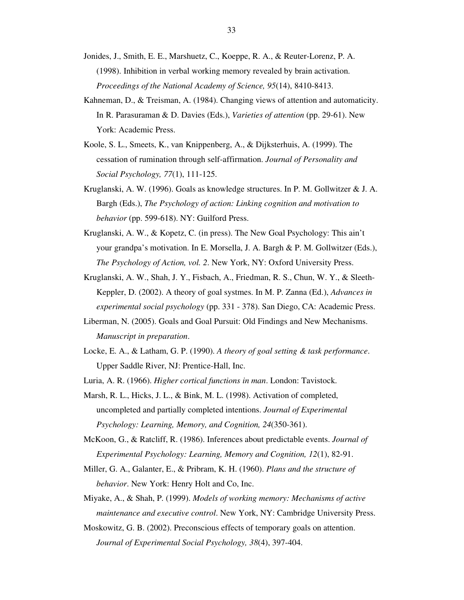- Jonides, J., Smith, E. E., Marshuetz, C., Koeppe, R. A., & Reuter-Lorenz, P. A. (1998). Inhibition in verbal working memory revealed by brain activation. *Proceedings of the National Academy of Science, 95*(14), 8410-8413.
- Kahneman, D., & Treisman, A. (1984). Changing views of attention and automaticity. In R. Parasuraman & D. Davies (Eds.), *Varieties of attention* (pp. 29-61). New York: Academic Press.
- Koole, S. L., Smeets, K., van Knippenberg, A., & Dijksterhuis, A. (1999). The cessation of rumination through self-affirmation. *Journal of Personality and Social Psychology, 77*(1), 111-125.
- Kruglanski, A. W. (1996). Goals as knowledge structures. In P. M. Gollwitzer & J. A. Bargh (Eds.), *The Psychology of action: Linking cognition and motivation to behavior* (pp. 599-618). NY: Guilford Press.
- Kruglanski, A. W., & Kopetz, C. (in press). The New Goal Psychology: This ain't your grandpa's motivation. In E. Morsella, J. A. Bargh & P. M. Gollwitzer (Eds.), *The Psychology of Action, vol. 2*. New York, NY: Oxford University Press.
- Kruglanski, A. W., Shah, J. Y., Fisbach, A., Friedman, R. S., Chun, W. Y., & Sleeth-Keppler, D. (2002). A theory of goal systmes. In M. P. Zanna (Ed.), *Advances in experimental social psychology* (pp. 331 - 378). San Diego, CA: Academic Press.
- Liberman, N. (2005). Goals and Goal Pursuit: Old Findings and New Mechanisms. *Manuscript in preparation*.
- Locke, E. A., & Latham, G. P. (1990). *A theory of goal setting & task performance*. Upper Saddle River, NJ: Prentice-Hall, Inc.
- Luria, A. R. (1966). *Higher cortical functions in man*. London: Tavistock.
- Marsh, R. L., Hicks, J. L., & Bink, M. L. (1998). Activation of completed, uncompleted and partially completed intentions. *Journal of Experimental Psychology: Learning, Memory, and Cognition, 24*(350-361).
- McKoon, G., & Ratcliff, R. (1986). Inferences about predictable events. *Journal of Experimental Psychology: Learning, Memory and Cognition, 12*(1), 82-91.
- Miller, G. A., Galanter, E., & Pribram, K. H. (1960). *Plans and the structure of behavior*. New York: Henry Holt and Co, Inc.
- Miyake, A., & Shah, P. (1999). *Models of working memory: Mechanisms of active maintenance and executive control*. New York, NY: Cambridge University Press.
- Moskowitz, G. B. (2002). Preconscious effects of temporary goals on attention. *Journal of Experimental Social Psychology, 38*(4), 397-404.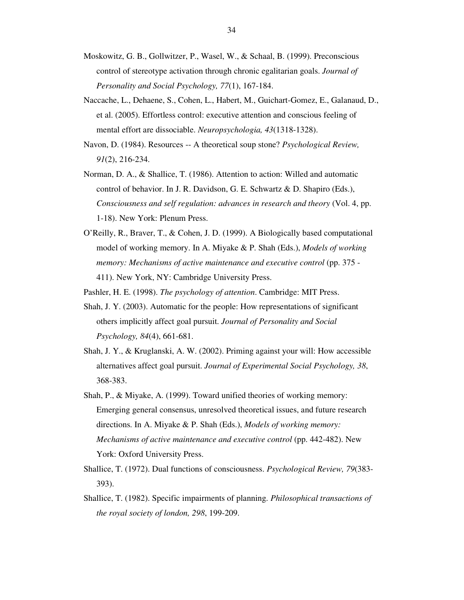- Moskowitz, G. B., Gollwitzer, P., Wasel, W., & Schaal, B. (1999). Preconscious control of stereotype activation through chronic egalitarian goals. *Journal of Personality and Social Psychology, 77*(1), 167-184.
- Naccache, L., Dehaene, S., Cohen, L., Habert, M., Guichart-Gomez, E., Galanaud, D., et al. (2005). Effortless control: executive attention and conscious feeling of mental effort are dissociable. *Neuropsychologia, 43*(1318-1328).
- Navon, D. (1984). Resources -- A theoretical soup stone? *Psychological Review, 91*(2), 216-234.
- Norman, D. A., & Shallice, T. (1986). Attention to action: Willed and automatic control of behavior. In J. R. Davidson, G. E. Schwartz & D. Shapiro (Eds.), *Consciousness and self regulation: advances in research and theory* (Vol. 4, pp. 1-18). New York: Plenum Press.
- O'Reilly, R., Braver, T., & Cohen, J. D. (1999). A Biologically based computational model of working memory. In A. Miyake & P. Shah (Eds.), *Models of working memory: Mechanisms of active maintenance and executive control* (pp. 375 - 411). New York, NY: Cambridge University Press.

Pashler, H. E. (1998). *The psychology of attention*. Cambridge: MIT Press.

- Shah, J. Y. (2003). Automatic for the people: How representations of significant others implicitly affect goal pursuit. *Journal of Personality and Social Psychology, 84*(4), 661-681.
- Shah, J. Y., & Kruglanski, A. W. (2002). Priming against your will: How accessible alternatives affect goal pursuit. *Journal of Experimental Social Psychology, 38*, 368-383.
- Shah, P., & Miyake, A. (1999). Toward unified theories of working memory: Emerging general consensus, unresolved theoretical issues, and future research directions. In A. Miyake & P. Shah (Eds.), *Models of working memory: Mechanisms of active maintenance and executive control* (pp. 442-482). New York: Oxford University Press.
- Shallice, T. (1972). Dual functions of consciousness. *Psychological Review, 79*(383- 393).
- Shallice, T. (1982). Specific impairments of planning. *Philosophical transactions of the royal society of london, 298*, 199-209.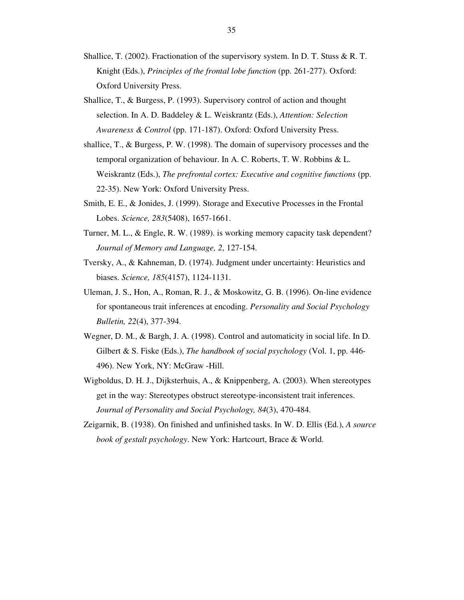- Shallice, T. (2002). Fractionation of the supervisory system. In D. T. Stuss & R. T. Knight (Eds.), *Principles of the frontal lobe function* (pp. 261-277). Oxford: Oxford University Press.
- Shallice, T., & Burgess, P. (1993). Supervisory control of action and thought selection. In A. D. Baddeley & L. Weiskrantz (Eds.), *Attention: Selection Awareness & Control* (pp. 171-187). Oxford: Oxford University Press.
- shallice, T., & Burgess, P. W. (1998). The domain of supervisory processes and the temporal organization of behaviour. In A. C. Roberts, T. W. Robbins & L. Weiskrantz (Eds.), *The prefrontal cortex: Executive and cognitive functions* (pp. 22-35). New York: Oxford University Press.
- Smith, E. E., & Jonides, J. (1999). Storage and Executive Processes in the Frontal Lobes. *Science, 283*(5408), 1657-1661.
- Turner, M. L., & Engle, R. W. (1989). is working memory capacity task dependent? *Journal of Memory and Language, 2*, 127-154.
- Tversky, A., & Kahneman, D. (1974). Judgment under uncertainty: Heuristics and biases. *Science, 185*(4157), 1124-1131.
- Uleman, J. S., Hon, A., Roman, R. J., & Moskowitz, G. B. (1996). On-line evidence for spontaneous trait inferences at encoding. *Personality and Social Psychology Bulletin, 22*(4), 377-394.
- Wegner, D. M., & Bargh, J. A. (1998). Control and automaticity in social life. In D. Gilbert & S. Fiske (Eds.), *The handbook of social psychology* (Vol. 1, pp. 446- 496). New York, NY: McGraw -Hill.
- Wigboldus, D. H. J., Dijksterhuis, A., & Knippenberg, A. (2003). When stereotypes get in the way: Stereotypes obstruct stereotype-inconsistent trait inferences. *Journal of Personality and Social Psychology, 84*(3), 470-484.
- Zeigarnik, B. (1938). On finished and unfinished tasks. In W. D. Ellis (Ed.), *A source book of gestalt psychology*. New York: Hartcourt, Brace & World.